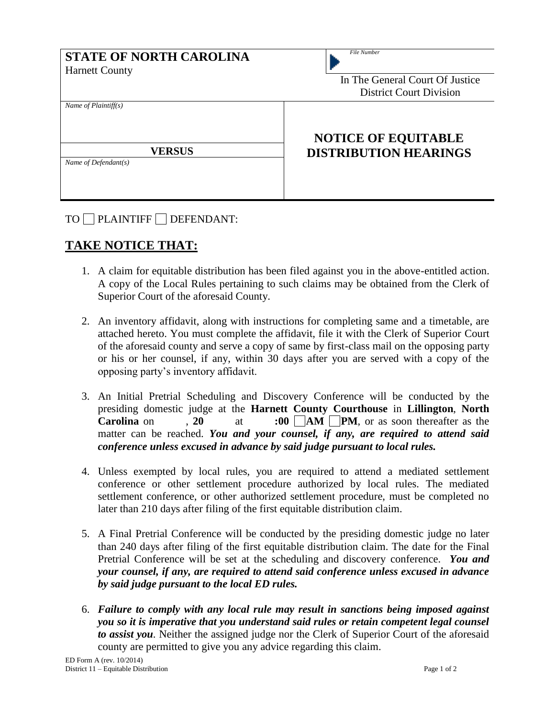| <b>STATE OF NORTH CAROLINA</b><br><b>Harnett County</b> | File Number<br>In The General Court Of Justice<br><b>District Court Division</b> |  |
|---------------------------------------------------------|----------------------------------------------------------------------------------|--|
| Name of $Plaintiff(s)$                                  | <b>NOTICE OF EQUITABLE</b>                                                       |  |
| <b>VERSUS</b><br>Name of Defendant(s)                   | <b>DISTRIBUTION HEARINGS</b>                                                     |  |

TO PLAINTIFF DEFENDANT:

## **TAKE NOTICE THAT:**

- 1. A claim for equitable distribution has been filed against you in the above-entitled action. A copy of the Local Rules pertaining to such claims may be obtained from the Clerk of Superior Court of the aforesaid County.
- 2. An inventory affidavit, along with instructions for completing same and a timetable, are attached hereto. You must complete the affidavit, file it with the Clerk of Superior Court of the aforesaid county and serve a copy of same by first-class mail on the opposing party or his or her counsel, if any, within 30 days after you are served with a copy of the opposing party's inventory affidavit.
- 3. An Initial Pretrial Scheduling and Discovery Conference will be conducted by the presiding domestic judge at the **Harnett County Courthouse** in **Lillington**, **North Carolina** on , **20** at **:00**  $\boxed{\ }$  **AM**  $\boxed{\ }$  **PM**, or as soon thereafter as the matter can be reached. *You and your counsel, if any, are required to attend said conference unless excused in advance by said judge pursuant to local rules.*
- 4. Unless exempted by local rules, you are required to attend a mediated settlement conference or other settlement procedure authorized by local rules. The mediated settlement conference, or other authorized settlement procedure, must be completed no later than 210 days after filing of the first equitable distribution claim.
- 5. A Final Pretrial Conference will be conducted by the presiding domestic judge no later than 240 days after filing of the first equitable distribution claim. The date for the Final Pretrial Conference will be set at the scheduling and discovery conference. *You and your counsel, if any, are required to attend said conference unless excused in advance by said judge pursuant to the local ED rules.*
- 6. *Failure to comply with any local rule may result in sanctions being imposed against you so it is imperative that you understand said rules or retain competent legal counsel to assist you.* Neither the assigned judge nor the Clerk of Superior Court of the aforesaid county are permitted to give you any advice regarding this claim.